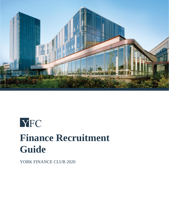

# **YFC Finance Recruitment Guide**

YORK FINANCE CLUB 2020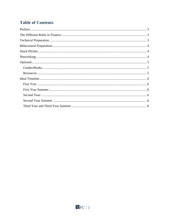# **Table of Contents**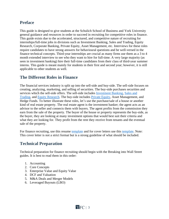# <span id="page-2-0"></span>**Preface**

This guide is designed to give students at the Schulich School of Business and York University general guidance and resources in order to succeed in recruiting for competitive roles in finance. This guide exists due to the accelerated, structured, and competitive nature of recruiting for internships/full-time jobs in divisions such as Investment Banking, Sales and Trading, Equity Research, Corporate Banking, Private Equity, Asset Management, etc. Interviews for these roles require candidates to have strong answers for behavioural questions and be well-versed in the finance technical concepts. Third-year internships are crucial as many firms use them as a 3 to 4 month extended interview to see who they want to hire for full-time. A very large majority (as seen in investment banking) hire their full-time candidates from their class of third-year summer interns. This guide is meant mainly for students in their first and second year; however, it is still applicable to other students as well.

## <span id="page-2-1"></span>**The Different Roles in Finance**

The financial services industry is split up into the sell-side and buy-side. The sell-side focuses on creating, analyzing, marketing, and selling of securities. The buy-side purchases securities and services which the sell-side offers. The sell-side includes [Investment Banking,](http://sellsidehandbook.com/careers/investment-banking/) [Sales and](http://sellsidehandbook.com/careers/sales-trading/)  [Trading,](http://sellsidehandbook.com/careers/sales-trading/) and [Equity Research.](http://sellsidehandbook.com/careers/equity-research/) The buy-side includes [Private Equity,](http://sellsidehandbook.com/careers/private-equity/) Asset Management, and Hedge Funds. To better illustrate these roles, let's use the purchase/sale of a house or another kind of real estate property. The real estate agent is the investment banker; the agent acts as an advisor to the seller and connects them with buyers. The agent profits from the commission they earn from the sale of the property. The buyer of the house or property represents the buy-side, as the buyer, they are looking at many investment options that would best suit their criteria and what they are looking for. They profit from the rent they receive from tenants and the eventual sale of the property.

For finance recruiting, use this resume [template](https://www.mergersandinquisitions.com/free-investment-banking-resume-template/) and for cover letters use this [template.](https://www.mergersandinquisitions.com/investment-banking-cover-letter-template/) Note: This cover letter is not a strict format but is a strong guideline of what should be included.

## <span id="page-2-2"></span>**Technical Preparation**

Technical preparation for finance recruiting should begin with the Breaking into Wall Street guides. It is best to read them in this order:

- 1. Accounting
- 2. Core Concepts
- 3. Enterprise Value and Equity Value
- 4. DCF and Valuation
- 5. M&A Deals and Merger Models
- 6. Leveraged Buyouts (LBO)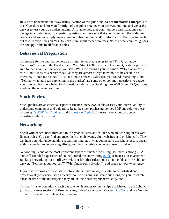Be sure to understand the "Key Rules" section of the guide and **do not memorize concepts**. For the "Questions and Answers" portion of the guide practice your answers out loud and cover the answer to test your true understanding. Also, take note that your numbers and situations can change in an interview, try adjusting questions to make sure that you understand the underlying concept and are not simply memorizing numbers, orders, and/or information. Feel free to reach out to club executives on YFC to learn more about these resources. Note: These technical guides are not applicable to all finance roles.

# <span id="page-3-0"></span>**Behavioural Preparation**

To prepare for the qualitative portion of interviews, please refer to the "Fit / Qualitative Questions" section of the Breaking into Wall Street 400 Investment Banking Questions guide. Be sure to focus on "Tell me about yourself / Walk me through your resume", "Why finance/this role?", and "Why this bank/office?" as they are almost always inevitable to be asked in an interview. "Pitch me a stock", "Tell me about a recent M&A deal you found interesting", and "Tell me what has been happening in the market" are some other common questions to gauge your interest. For more behavioral questions refer to the Breaking into Wall Street Fit Questions guide on the relevant sections.

## <span id="page-3-1"></span>**Stock Pitches**

Stock pitches are an essential aspect of finance interviews. It showcases your interest/ability to understand companies and valuation. Read the stock pitches guidelines PDF and refer to these resources: [YUSIF,](https://yusif.ca/resources) [WIC,](https://www.westerninvestmentclub.ca/resources) [QUIC,](http://www.quiconline.com/reports/) and [Limestone Capital.](https://www.limestonecapital.org/pitches.html) To learn more about particular industries, refer to this [link.](http://sellsidehandbook.com/industries/)

## <span id="page-3-2"></span>**Networking**

Speak with experienced third and fourth-year students at Schulich who are working in relevant finance roles. You can find and meet them at club events, club websites, and on LinkedIn. They can help you with understanding recruiting timelines, what you need to do, who is best to speak with in your future networking efforts, and they can give you general useful advice.

Networking is one of the most important aspect of finance recruiting (still need a strong GPA and well-rounded experience of course). Read this networking [guide,](https://www.mergersandinquisitions.com/investment-banking-networking/) it focuses on Investment Banking networking but is still very relevant for other roles (note: do not cold call). Be able to answer, "Tell me about yourself," "Why finance/this division?" and speak to your experience.

In your networking coffee chats or informational interviews, it is vital to be polished and professional (be concise, speak clearly, no use of slang, ask smart questions, do your research ahead of time of the industry/job they are in, their past experience/history, etc.).

To find firms to potentially reach out to when it comes to internships use LinkedIn, the Schulich job board, career sections of firm websites, Indeed, Glassdoor, Monster, [CVCA,](https://www.cvca.ca/member-resources/member-directory) and use Google to find firms and other relevant information.

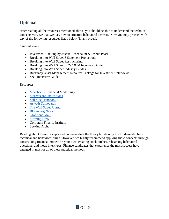# <span id="page-4-0"></span>**Optional**

After reading all the resources mentioned above, you should be able to understand the technical concepts very well, as well as, how to structure behavioral answers. Now you may proceed with any of the following resources listed below (in any order):

#### <span id="page-4-1"></span>Guides/Books

- Investment Banking by Joshua Rosenbaum & Joshua Pearl
- Breaking into Wall Street 3 Statement Projections
- Breaking into Wall Street Restructuring
- Breaking into Wall Street ECM/DCM Interview Guide
- Breaking into Wall Street Industry Guides
- Burgundy Asset Management Resource Package for Investment Interviews
- S&T Interview Guide

#### <span id="page-4-2"></span>Resources

- [Macabacus](https://macabacus.com/learn) (Financial Modelling)
- [Mergers and Inquisitions](https://www.mergersandinquisitions.com/)
- [Sell Side Handbook](http://sellsidehandbook.com/)
- [Aswath Damodaran](https://www.youtube.com/channel/UCLvnJL8htRR1T9cbSccaoVw)
- [The Wall Street Journal](https://www.wsj.com/news/markets)
- [Bloomberg News](https://www.bloomberg.com/canada)
- [Globe and Mail](https://www.theglobeandmail.com/business/)
- [Morning Brew](https://www.morningbrew.com/daily/latest)
- Corporate Finance Institute
- Seeking Alpha

Reading about these concepts and understanding the theory builds only the fundamental base of technical and behavioral skills. However, we highly recommend applying these concepts through constructing financial models on your own, creating stock pitches, rehearsing behavioral questions, and mock interviews. Finance candidates that experience the most success have engaged in most or all of these practical methods.